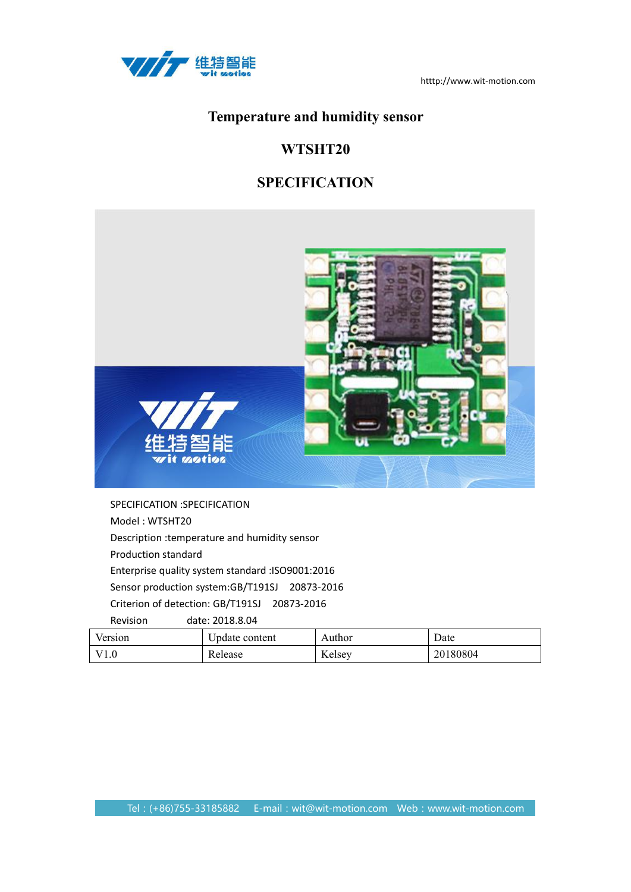

# **Temperature and humidity sensor**

# **WTSHT20**

# **SPECIFICATION**



SPECIFICATION :SPECIFICATION Model : WTSHT20 Description :temperature and humidity sensor Production standard Enterprise quality system standard :ISO9001:2016 Sensor production system:GB/T191SJ 20873-2016 Criterion of detection: GB/T191SJ 20873-2016

Revision date: 2018.8.04 Version | Update content | Author | Date V1.0 Release Kelsey 20180804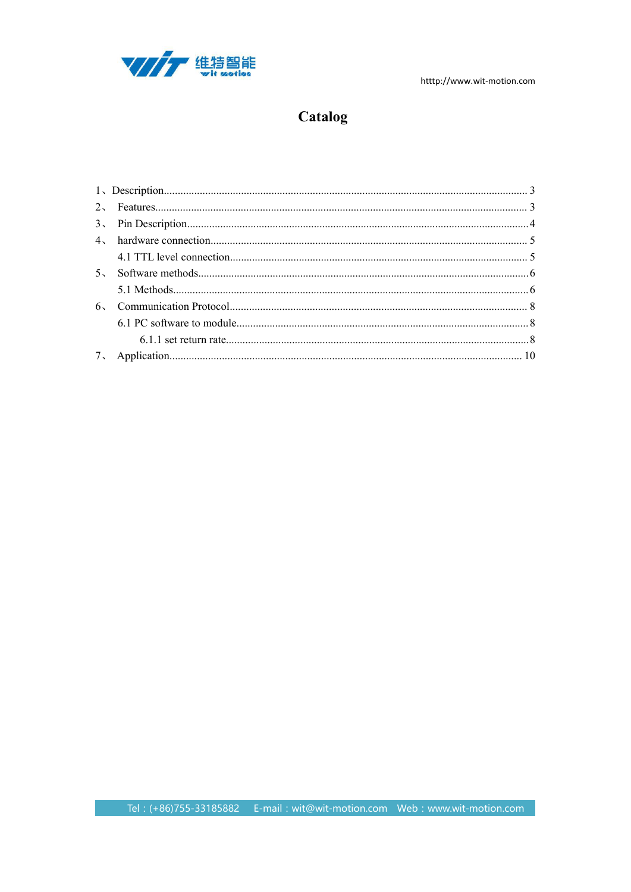

# Catalog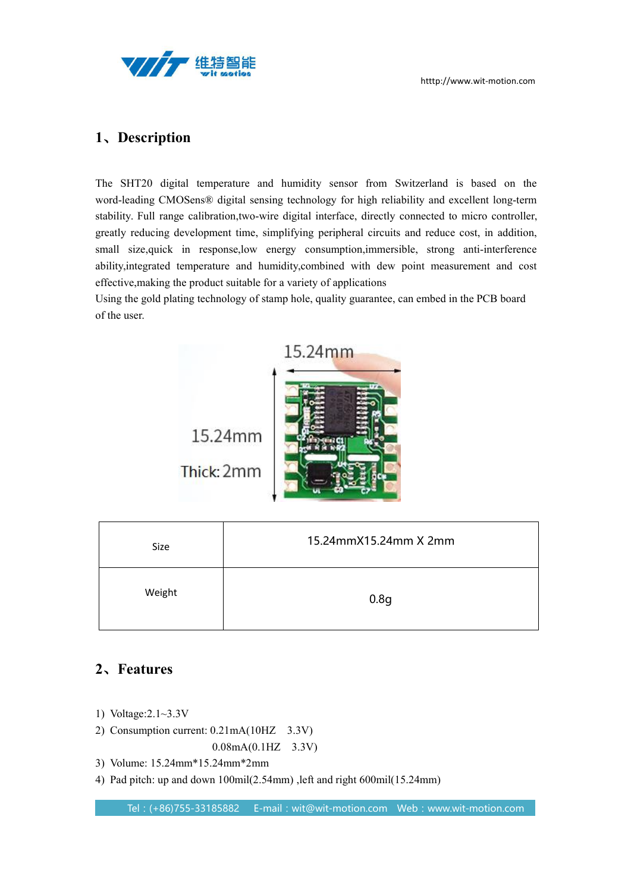



## <span id="page-2-0"></span>**1**、**Description**

The SHT20 digital temperature and humidity sensor from Switzerland is based on the word-leading CMOSens® digital sensing technology for high reliability and excellent long-term stability. Full range calibration,two-wire digital interface, directly connected to micro controller, greatly reducing development time, simplifying peripheral circuits and reduce cost, in addition, small size,quick in response,low energy consumption,immersible, strong anti-interference ability, integrated temperature and humidity, combined with dew point measurement and cost effective,making the product suitable for a variety of applications

Using the gold plating technology of stamp hole, quality guarantee, can embed in the PCB board of the user.



Thick: 2mm

| Size   | 15.24mmX15.24mm X 2mm |  |
|--------|-----------------------|--|
| Weight | 0.8 <sub>g</sub>      |  |

# <span id="page-2-1"></span>**2**、**Features**

- 1) Voltage:2.1~3.3V
- 2) Consumption current: 0.21mA(10HZ 3.3V)

0.08mA(0.1HZ 3.3V)

- 3) Volume: 15.24mm\*15.24mm\*2mm
- 4) Pad pitch: up and down 100mil(2.54mm) ,left and right 600mil(15.24mm)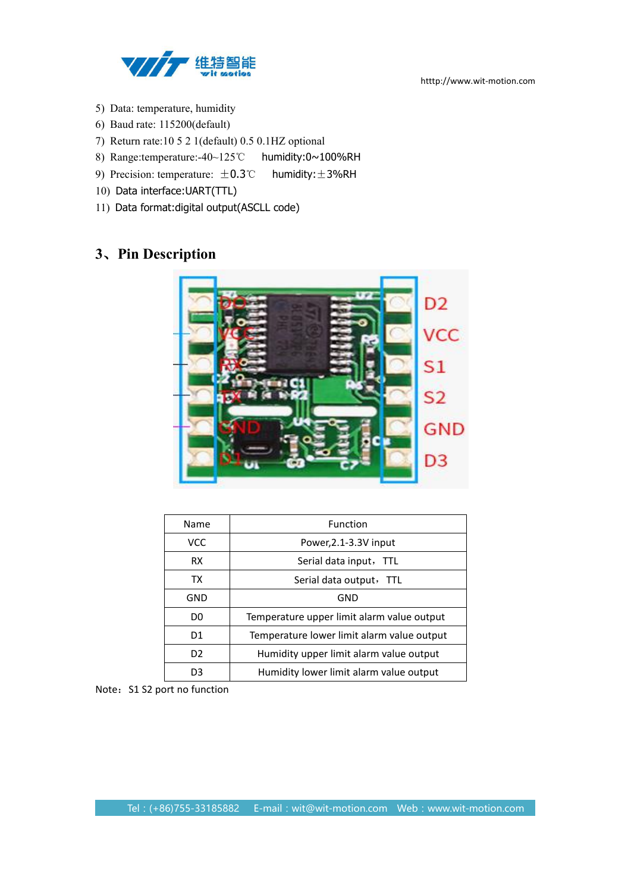

- 5) Data: temperature, humidity
- 6) Baud rate: 115200(default)
- 7) Return rate:10 5 2 1(default) 0.5 0.1HZ optional
- 8) Range:temperature:-40~125℃ humidity:0~100%RH
- 9) Precision: temperature:  $±0.3$ °C humidity: ±3%RH
- 10) Data interface:UART(TTL)
- 11) Data format:digital output(ASCLL code)

# <span id="page-3-0"></span>**3**、**Pin Description**



| Name           | Function                                   |
|----------------|--------------------------------------------|
| VCC            | Power, 2.1-3.3V input                      |
| <b>RX</b>      | Serial data input, TTL                     |
| TX             | Serial data output, TTL                    |
| GND            | GND                                        |
| D <sub>0</sub> | Temperature upper limit alarm value output |
| D1             | Temperature lower limit alarm value output |
| D <sub>2</sub> | Humidity upper limit alarm value output    |
| D <sub>3</sub> | Humidity lower limit alarm value output    |

Note: S1 S2 port no function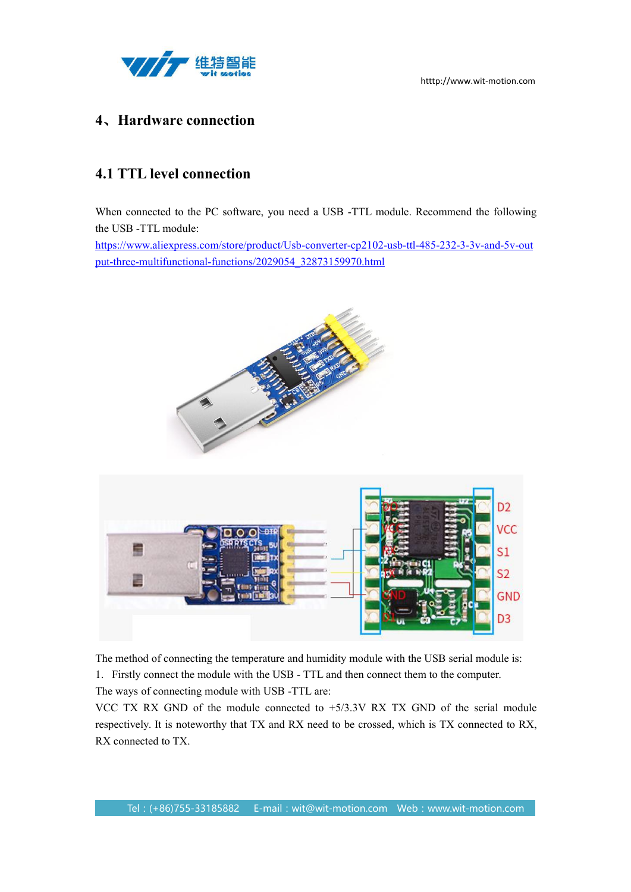

## <span id="page-4-0"></span>**4**、**Hardware connection**

# <span id="page-4-1"></span>**4.1 TTL level connection**

When connected to the PC software, you need a USB -TTL module. Recommend the following the USB -TTL module:

[https://www.aliexpress.com/store/product/Usb-converter-cp2102-usb-ttl-485-232-3-3v-and-5v-out](https://www.aliexpress.com/store/product/Usb-converter-cp2102-usb-ttl-485-232-3-3v-and-5v-output-three-multifunctional-functions/2029054_32873159970.html) put-three-multifunctional-functions/2029054\_32873159970.html





The method of connecting the temperature and humidity module with the USB serial module is: 1. Firstly connect the module with the USB - TTL and then connect them to the computer. The ways of connecting module with USB -TTL are:

VCC TX RX GND of the module connected to  $+5/3.3V$  RX TX GND of the serial module respectively. It is noteworthy that TX and RX need to be crossed, which is TX connected to RX, RX connected to TX.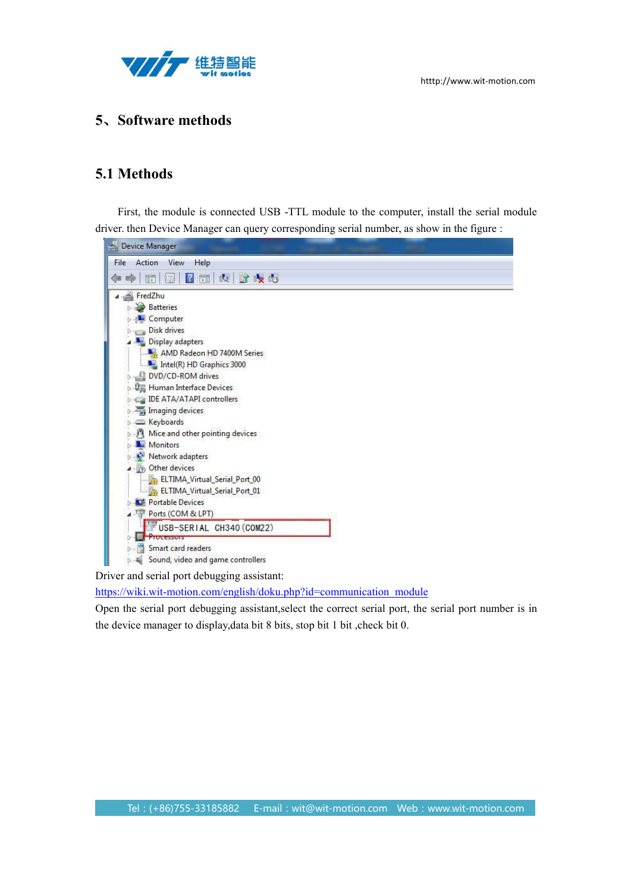

## <span id="page-5-0"></span>**5**、**Software methods**

## <span id="page-5-1"></span>**5.1 Methods**

First, the module is connected USB -TTL module to the computer, install the serial module driver. then Device Manager can query corresponding serial number, as show in the figure :



[https://wiki.wit-motion.com/english/doku.php?id=communication\\_module](https://wiki.wit-motion.com/english/doku.php?id=communication_module)

Open the serial port debugging assistant, select the correct serial port, the serial port number is in the device manager to display,data bit 8 bits, stop bit 1 bit ,check bit 0.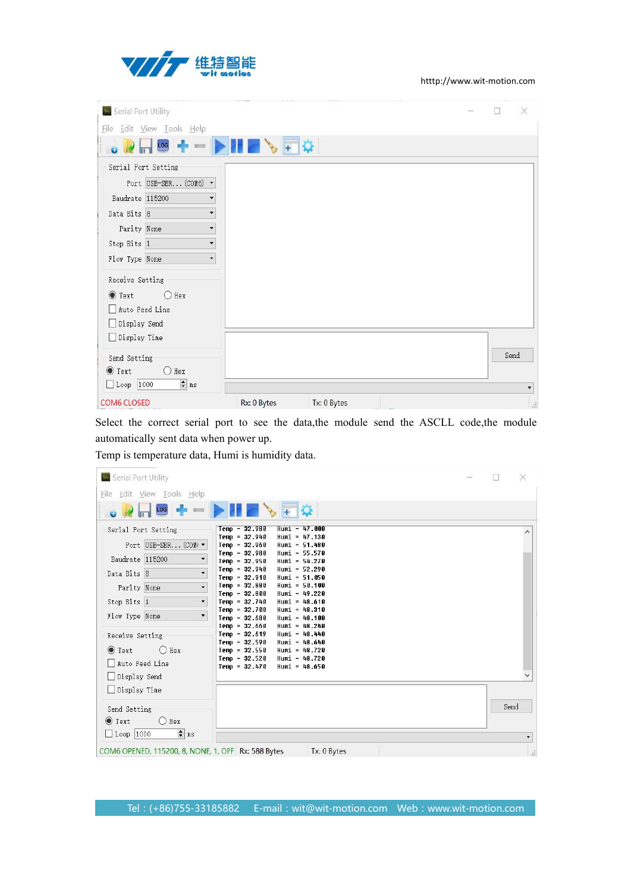

| ser Serial Port Utility                     |                            |      |    |
|---------------------------------------------|----------------------------|------|----|
| Eile Edit View Tools Help                   |                            |      |    |
| LOG                                         | $\sqrt{1+\Omega}$          |      |    |
| Serial Port Setting                         |                            |      |    |
| Port USB-SER (COM6) -                       |                            |      |    |
| Baudrate 115200<br>▼                        |                            |      |    |
| $\overline{\phantom{0}}$<br>Data Bits 8     |                            |      |    |
| Parity None<br>$\overline{\phantom{a}}$     |                            |      |    |
| Stop Bits 1<br>$\overline{\phantom{a}}$     |                            |      |    |
| Flow Type None<br>۰                         |                            |      |    |
| Receive Setting                             |                            |      |    |
| $\odot$ Text<br>$\bigcirc$ Hex              |                            |      |    |
| Auto Feed Line                              |                            |      |    |
| Display Send                                |                            |      |    |
| □ Display Time                              |                            |      |    |
| Send Setting                                |                            | Send |    |
| $\bigcirc$ Hex<br>$\bullet$ Text            |                            |      |    |
| $\frac{1}{\sqrt{2}}$ ns<br>$\Box$ Loop 1000 |                            |      | ▼  |
| <b>COM6 CLOSED</b>                          | Rx: 0 Bytes<br>Tx: 0 Bytes |      | d. |

Select the correct serial port to see the data,the module send the ASCLL code,the module automatically sent data when power up.

Temp is temperature data, Humi is humidity data.

| seu Serial Port Utility                                                               |                                                                                                                                                                                                                                                                          |  | X    |
|---------------------------------------------------------------------------------------|--------------------------------------------------------------------------------------------------------------------------------------------------------------------------------------------------------------------------------------------------------------------------|--|------|
| File Edit View Tools Help                                                             |                                                                                                                                                                                                                                                                          |  |      |
| $\log$ $\frac{1}{2}$ $\log$                                                           |                                                                                                                                                                                                                                                                          |  |      |
| Serial Port Setting<br>Port USB-SER (COM( v                                           | $Temp = 32.980$<br>$Hum1 = 47.000$<br>$Temp = 32.940$<br>$H$ umi = 47.130<br>$Temp = 32.960$<br>$Hum1 = 51.480$                                                                                                                                                          |  |      |
| Baudrate 115200                                                                       | $Temp = 32.980$<br>Humi = $55.570$<br>$Temp = 32.950$<br>Humi = $54.270$                                                                                                                                                                                                 |  |      |
| $\overline{\phantom{0}}$<br>Data Bits 8<br>$\overline{\phantom{a}}$<br>Parity None    | $Temp = 32.940$<br>$Hum1 = 52.290$<br>$Temp = 32.910$<br>$Hum1 = 51.050$<br>$Temp = 32.880$<br>$H$ umi = 50.100                                                                                                                                                          |  |      |
| $\overline{\phantom{0}}$<br>Stop Bits 1                                               | $Temp = 32.800$<br>Humi = $49.220$<br>$Temp = 32.740$<br>Humi = $48.610$<br>$Temp = 32.700$<br>Humi = $48.310$                                                                                                                                                           |  |      |
| Flow Type None<br>▼<br>Receive Setting<br>$\bullet$ Text<br>$O$ Hex<br>Auto Feed Line | $Temp = 32.680$<br>Humi = $48.100$<br>$Temp = 32.660$<br>$H$ umi = 48.240<br>$Temp = 32.619$<br>$H$ umi = 48.440<br>$Temp = 32.590$<br>Humi = $48.640$<br>$Temp = 32.550$<br>Humi = $48.720$<br>$Temp = 32.520$<br>Humi = $48.720$<br>$Temp = 32.470$<br>Humi = $48.650$ |  |      |
| Display Send<br>Display Time                                                          |                                                                                                                                                                                                                                                                          |  |      |
| Send Setting<br>$\bullet$ Text<br>$O$ Hex                                             |                                                                                                                                                                                                                                                                          |  | Send |
| $\div$ ns<br>$\Box$ Loop 1000                                                         |                                                                                                                                                                                                                                                                          |  |      |
| COM6 OPENED, 115200, 8, NONE, 1, OFF Rx: 588 Bytes                                    | Tx: 0 Bytes                                                                                                                                                                                                                                                              |  | al.  |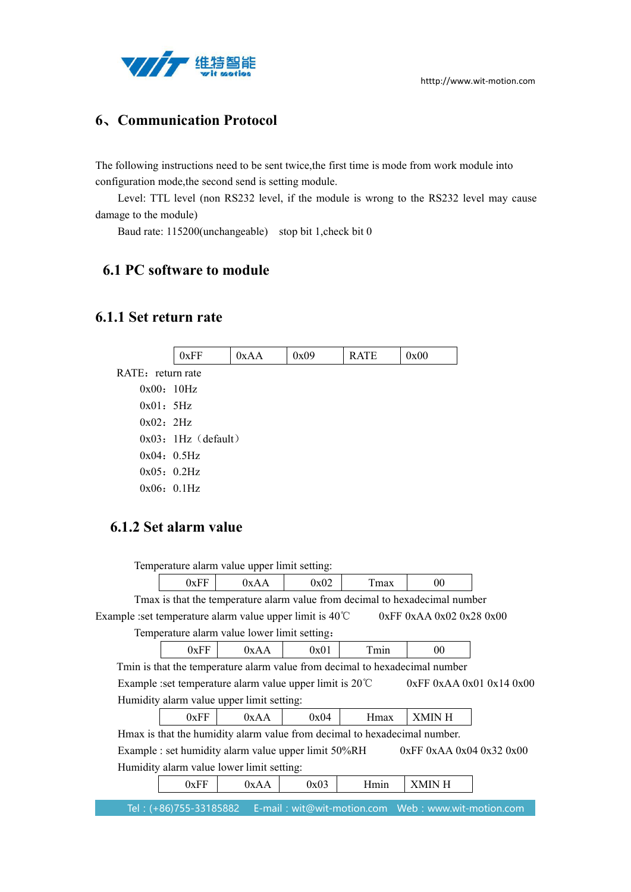

## <span id="page-7-0"></span>**6**、**Communication Protocol**

The following instructions need to be sent twice,the first time is mode from work module into configuration mode,the second send is setting module.

Level: TTL level (non RS232 level, if the module is wrong to the RS232 level may cause damage to the module)

Baud rate: 115200(unchangeable) stop bit 1,check bit 0

### <span id="page-7-1"></span>**6.1 PC software to module**

### <span id="page-7-2"></span>**6.1.1 Set return rate**

 $0xFF$   $0xAA$   $0x09$   $RRTE$   $0x00$ RATE: return rate 0x00: 10Hz 0x01:5Hz 0x02:2Hz  $0x03:1Hz$  (default) 0x04: 0.5Hz 0x05:0.2Hz 0x06: 0.1Hz

### **6.1.2 Set alarm value**

Temperature alarm value upper limit setting:  $0xFF$   $0xAA$   $0x02$   $Tmax$   $00$ Tmax is that the temperature alarm value from decimal to hexadecimal number Example :set temperature alarm value upper limit is  $40^{\circ}\text{C}$  0xFF 0xAA 0x02 0x28 0x00 Temperature alarm value lower limit setting:  $0xFF$   $0xAA$   $0x01$   $Tmin$   $00$ Tmin is that the temperature alarm value from decimal to hexadecimal number Example :set temperature alarm value upper limit is 20℃ 0xFF 0xAA 0x01 0x14 0x00 Humidity alarm value upper limit setting:  $0xFF$   $0xAA$   $0x04$  Hmax XMIN H Hmax is that the humidity alarm value from decimal to hexadecimal number. Example : set humidity alarm value upper limit 50%RH 0xFF 0xAA 0x04 0x32 0x00 Humidity alarm value lower limit setting:  $0xFF$   $0xAA$   $0x03$   $Hmin$   $XMIN H$ 

Tel: (+86)755-33185882 E-mail: wit@wit-motion.com Web: www.wit-motion.com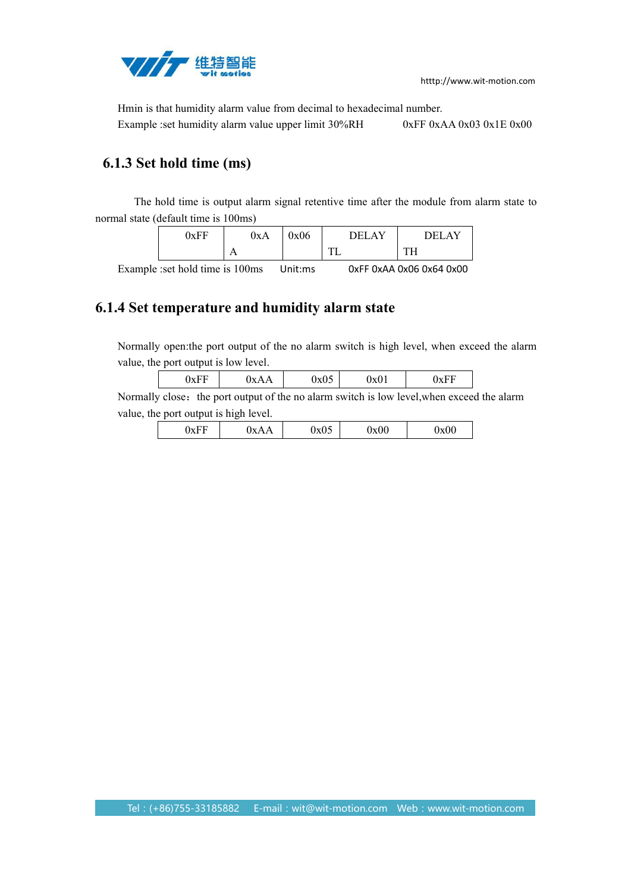

Hmin is that humidity alarm value from decimal to hexadecimal number. Example :set humidity alarm value upper limit 30%RH 0xFF 0xAA 0x03 0x1E 0x00

# **6.1.3 Set hold time (ms)**

The hold time is output alarm signal retentive time after the module from alarm state to normal state (default time is 100ms)

| 0xFF | 0xA            | $\sim$<br>UxU6 | $ -$<br>1 H I          | $\mathbf{v}$<br>n r t<br>וׂ⊬ו<br>Δ |
|------|----------------|----------------|------------------------|------------------------------------|
|      | $\overline{1}$ |                | <b>CONTRACT</b><br>. . | $T^*$<br>-<br><b>TTT</b>           |

Example :set hold time is 100ms Unit:ms 0xFF 0xAA 0x06 0x64 0x00

## **6.1.4 Set temperature and humidity alarm state**

Normally open:the port output of the no alarm switch is high level, when exceed the alarm value, the port output is low level.

|  | UXF F | $\mathbf{y}_{\mathbf{X}}$<br>$\mathbf{v}$<br>ъA<br>. . <u>. .</u> | 'AU. | UXUI<br>____ | IVH<br>UAT 1 |
|--|-------|-------------------------------------------------------------------|------|--------------|--------------|
|--|-------|-------------------------------------------------------------------|------|--------------|--------------|

<span id="page-8-0"></span>Normally close: the port output of the no alarm switch is low level, when exceed the alarm value, the port output is high level.

|--|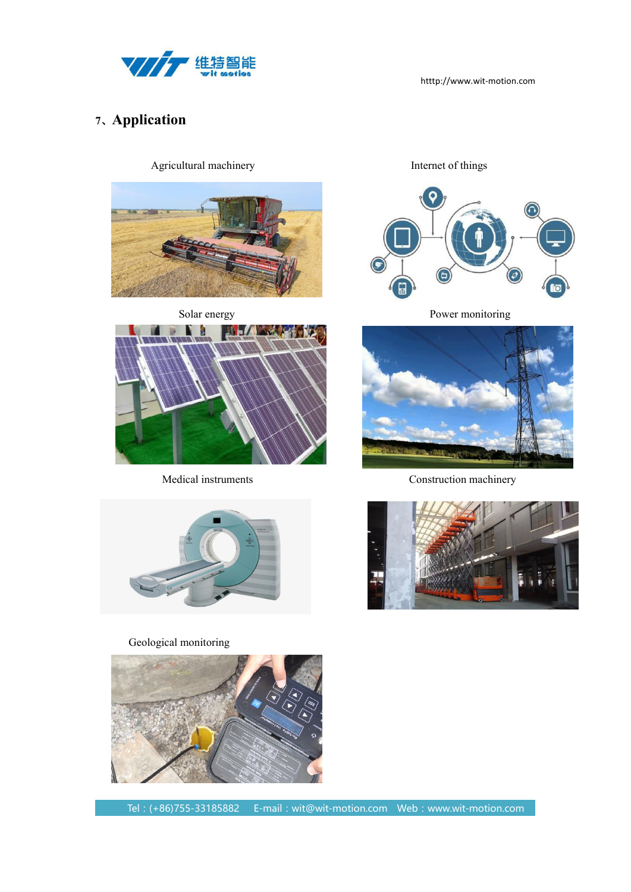

# **7**、**Application**

Agricultural machinery **Internet of things** 









Solar energy Power monitoring



Medical instruments Construction machinery



### Geological monitoring